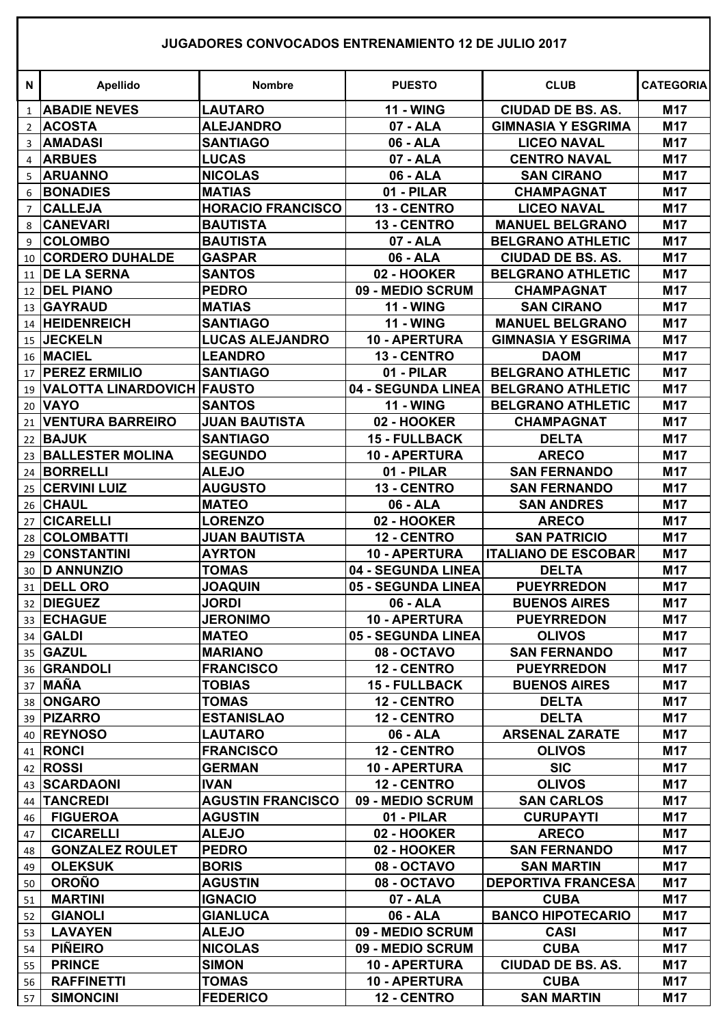## **JUGADORES CONVOCADOS ENTRENAMIENTO 12 DE JULIO 2017**

| <b>N</b>       | <b>Apellido</b>                | <b>Nombre</b>                  | <b>PUESTO</b>              | <b>CLUB</b>                                    | <b>CATEGORIA</b> |
|----------------|--------------------------------|--------------------------------|----------------------------|------------------------------------------------|------------------|
| $\mathbf{1}$   | <b>ABADIE NEVES</b>            | <b>LAUTARO</b>                 | <b>11 - WING</b>           | <b>CIUDAD DE BS. AS.</b>                       | M17              |
| $\overline{2}$ | <b>ACOSTA</b>                  | <b>ALEJANDRO</b>               | 07 - ALA                   | <b>GIMNASIA Y ESGRIMA</b>                      | <b>M17</b>       |
| 3              | <b>AMADASI</b>                 | <b>SANTIAGO</b>                | 06 - ALA                   | <b>LICEO NAVAL</b>                             | M17              |
| 4              | <b>ARBUES</b>                  | <b>LUCAS</b>                   | 07 - ALA                   | <b>CENTRO NAVAL</b>                            | M17              |
| 5              | <b>ARUANNO</b>                 | <b>NICOLAS</b>                 | 06 - ALA                   | <b>SAN CIRANO</b>                              | M17              |
| 6              | <b>BONADIES</b>                | <b>MATIAS</b>                  | 01 - PILAR                 | <b>CHAMPAGNAT</b>                              | M17              |
| 7              | <b>CALLEJA</b>                 | <b>HORACIO FRANCISCO</b>       | 13 - CENTRO                | <b>LICEO NAVAL</b>                             | M17              |
| 8              | <b>CANEVARI</b>                | <b>BAUTISTA</b>                | 13 - CENTRO                | <b>MANUEL BELGRANO</b>                         | M17              |
| 9              | <b>COLOMBO</b>                 | <b>BAUTISTA</b>                | 07 - ALA                   | <b>BELGRANO ATHLETIC</b>                       | M17              |
| 10             | <b>CORDERO DUHALDE</b>         | <b>GASPAR</b>                  | 06 - ALA                   | <b>CIUDAD DE BS. AS.</b>                       | M17              |
| 11             | <b>DE LA SERNA</b>             | <b>SANTOS</b>                  | 02 - HOOKER                | <b>BELGRANO ATHLETIC</b>                       | M17              |
|                | 12 DEL PIANO                   | <b>PEDRO</b>                   | 09 - MEDIO SCRUM           | <b>CHAMPAGNAT</b>                              | M17              |
|                | 13 GAYRAUD                     | <b>MATIAS</b>                  | <b>11 - WING</b>           | <b>SAN CIRANO</b>                              | M17              |
|                | 14 HEIDENREICH                 | <b>SANTIAGO</b>                | <b>11 - WING</b>           | <b>MANUEL BELGRANO</b>                         | M17              |
|                | 15 JECKELN                     | <b>LUCAS ALEJANDRO</b>         | <b>10 - APERTURA</b>       | <b>GIMNASIA Y ESGRIMA</b>                      | M17              |
|                | 16 MACIEL                      | <b>LEANDRO</b>                 | 13 - CENTRO                | <b>DAOM</b>                                    | M17              |
|                | 17 PEREZ ERMILIO               | <b>SANTIAGO</b>                | 01 - PILAR                 | <b>BELGRANO ATHLETIC</b>                       | M17              |
|                | 19 VALOTTA LINARDOVICH FAUSTO  |                                | 04 - SEGUNDA LINEA         | <b>BELGRANO ATHLETIC</b>                       | M17              |
|                | 20 VAYO                        | <b>SANTOS</b>                  | <b>11 - WING</b>           | <b>BELGRANO ATHLETIC</b>                       | M17              |
| 21             | <b>VENTURA BARREIRO</b>        | <b>JUAN BAUTISTA</b>           | 02 - HOOKER                | <b>CHAMPAGNAT</b>                              | M17              |
|                | 22 BAJUK                       | <b>SANTIAGO</b>                | 15 - FULLBACK              | <b>DELTA</b>                                   | M17              |
| 23             | <b>BALLESTER MOLINA</b>        | <b>SEGUNDO</b>                 | <b>10 - APERTURA</b>       | <b>ARECO</b>                                   | M17              |
| 24             | <b>BORRELLI</b>                | <b>ALEJO</b>                   | 01 - PILAR                 | <b>SAN FERNANDO</b>                            | M17              |
| 25             | <b>CERVINI LUIZ</b>            | <b>AUGUSTO</b>                 | 13 - CENTRO                | <b>SAN FERNANDO</b>                            | M17              |
|                | 26 CHAUL                       | <b>MATEO</b>                   | 06 - ALA                   | <b>SAN ANDRES</b>                              | M17              |
| 27             | <b>CICARELLI</b>               | <b>LORENZO</b>                 | 02 - HOOKER                | <b>ARECO</b>                                   | M17              |
| 28             | <b>COLOMBATTI</b>              | <b>JUAN BAUTISTA</b>           | 12 - CENTRO                | <b>SAN PATRICIO</b>                            | M17              |
| 29             | <b>CONSTANTINI</b>             | <b>AYRTON</b>                  | 10 - APERTURA              | <b>ITALIANO DE ESCOBAR</b>                     | M17              |
|                | 30 D ANNUNZIO                  | <b>TOMAS</b>                   | 04 - SEGUNDA LINEA         | <b>DELTA</b>                                   | M17              |
| 31             | <b>DELL ORO</b>                | <b>JOAQUIN</b>                 | 05 - SEGUNDA LINEA         | <b>PUEYRREDON</b>                              | M17              |
|                | 32 DIEGUEZ                     | <b>JORDI</b>                   | 06 - ALA                   | <b>BUENOS AIRES</b>                            | M17              |
|                | 33 ECHAGUE                     | <b>JERONIMO</b>                | 10 - APERTURA              | <b>PUEYRREDON</b>                              | <b>M17</b>       |
|                | 34 GALDI                       | <b>MATEO</b>                   | 05 - SEGUNDA LINEA         | <b>OLIVOS</b>                                  | <b>M17</b>       |
|                | 35 GAZUL                       | <b>MARIANO</b>                 | 08 - OCTAVO                | <b>SAN FERNANDO</b>                            | M17              |
|                | 36 GRANDOLI                    | <b>FRANCISCO</b>               | 12 - CENTRO                | <b>PUEYRREDON</b>                              | M17              |
|                | 37 MAÑA                        | <b>TOBIAS</b>                  | <b>15 - FULLBACK</b>       | <b>BUENOS AIRES</b>                            | M17              |
|                | 38 ONGARO                      | <b>TOMAS</b>                   | 12 - CENTRO                | <b>DELTA</b>                                   | M17              |
|                | 39 PIZARRO                     | <b>ESTANISLAO</b>              | 12 - CENTRO                | <b>DELTA</b>                                   | M17              |
|                | 40 REYNOSO                     | <b>LAUTARO</b>                 | 06 - ALA                   | <b>ARSENAL ZARATE</b>                          | M17              |
|                | 41 RONCI                       | <b>FRANCISCO</b>               | 12 - CENTRO                | <b>OLIVOS</b>                                  | <b>M17</b>       |
|                | 42 ROSSI                       | <b>GERMAN</b>                  | <b>10 - APERTURA</b>       | <b>SIC</b>                                     | M17              |
|                | 43 SCARDAONI                   | <b>IVAN</b>                    | 12 - CENTRO                | <b>OLIVOS</b>                                  | M17              |
| 44             | <b>TANCREDI</b>                | <b>AGUSTIN FRANCISCO</b>       | 09 - MEDIO SCRUM           | <b>SAN CARLOS</b>                              | M17              |
| 46             | <b>FIGUEROA</b>                | <b>AGUSTIN</b>                 | 01 - PILAR                 | <b>CURUPAYTI</b>                               | M17              |
| 47             | <b>CICARELLI</b>               | <b>ALEJO</b>                   | 02 - HOOKER                | <b>ARECO</b>                                   | M17              |
| 48             | <b>GONZALEZ ROULET</b>         | <b>PEDRO</b>                   | 02 - HOOKER                | <b>SAN FERNANDO</b>                            | M17              |
| 49<br>50       | <b>OLEKSUK</b><br><b>OROÑO</b> | <b>BORIS</b><br><b>AGUSTIN</b> | 08 - OCTAVO<br>08 - OCTAVO | <b>SAN MARTIN</b><br><b>DEPORTIVA FRANCESA</b> | M17<br>M17       |
| 51             | <b>MARTINI</b>                 | <b>IGNACIO</b>                 | 07 - ALA                   | <b>CUBA</b>                                    | <b>M17</b>       |
| 52             | <b>GIANOLI</b>                 | <b>GIANLUCA</b>                | 06 - ALA                   | <b>BANCO HIPOTECARIO</b>                       | M17              |
| 53             | <b>LAVAYEN</b>                 | <b>ALEJO</b>                   | 09 - MEDIO SCRUM           | <b>CASI</b>                                    | M17              |
| 54             | <b>PIÑEIRO</b>                 | <b>NICOLAS</b>                 | 09 - MEDIO SCRUM           | <b>CUBA</b>                                    | M17              |
| 55             | <b>PRINCE</b>                  | <b>SIMON</b>                   | <b>10 - APERTURA</b>       | <b>CIUDAD DE BS. AS.</b>                       | M17              |
| 56             | <b>RAFFINETTI</b>              | <b>TOMAS</b>                   | 10 - APERTURA              | <b>CUBA</b>                                    | <b>M17</b>       |
| 57             | <b>SIMONCINI</b>               | <b>FEDERICO</b>                | 12 - CENTRO                | <b>SAN MARTIN</b>                              | <b>M17</b>       |